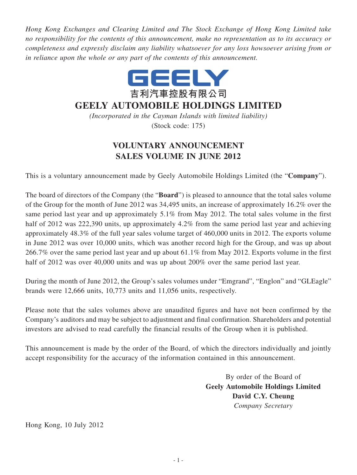*Hong Kong Exchanges and Clearing Limited and The Stock Exchange of Hong Kong Limited take no responsibility for the contents of this announcement, make no representation as to its accuracy or completeness and expressly disclaim any liability whatsoever for any loss howsoever arising from or in reliance upon the whole or any part of the contents of this announcement.*



## **GEELY AUTOMOBILE HOLDINGS LIMITED**

*(Incorporated in the Cayman Islands with limited liability)* (Stock code: 175)

## **VOLUNTARY ANNOUNCEMENT SALES VOLUME IN JUNE 2012**

This is a voluntary announcement made by Geely Automobile Holdings Limited (the "**Company**").

The board of directors of the Company (the "**Board**") is pleased to announce that the total sales volume of the Group for the month of June 2012 was 34,495 units, an increase of approximately 16.2% over the same period last year and up approximately 5.1% from May 2012. The total sales volume in the first half of 2012 was 222,390 units, up approximately 4.2% from the same period last year and achieving approximately 48.3% of the full year sales volume target of 460,000 units in 2012. The exports volume in June 2012 was over 10,000 units, which was another record high for the Group, and was up about 266.7% over the same period last year and up about 61.1% from May 2012. Exports volume in the first half of 2012 was over 40,000 units and was up about 200% over the same period last year.

During the month of June 2012, the Group's sales volumes under "Emgrand", "Englon" and "GLEagle" brands were 12,666 units, 10,773 units and 11,056 units, respectively.

Please note that the sales volumes above are unaudited figures and have not been confirmed by the Company's auditors and may be subject to adjustment and final confirmation. Shareholders and potential investors are advised to read carefully the financial results of the Group when it is published.

This announcement is made by the order of the Board, of which the directors individually and jointly accept responsibility for the accuracy of the information contained in this announcement.

> By order of the Board of **Geely Automobile Holdings Limited David C.Y. Cheung** *Company Secretary*

Hong Kong, 10 July 2012